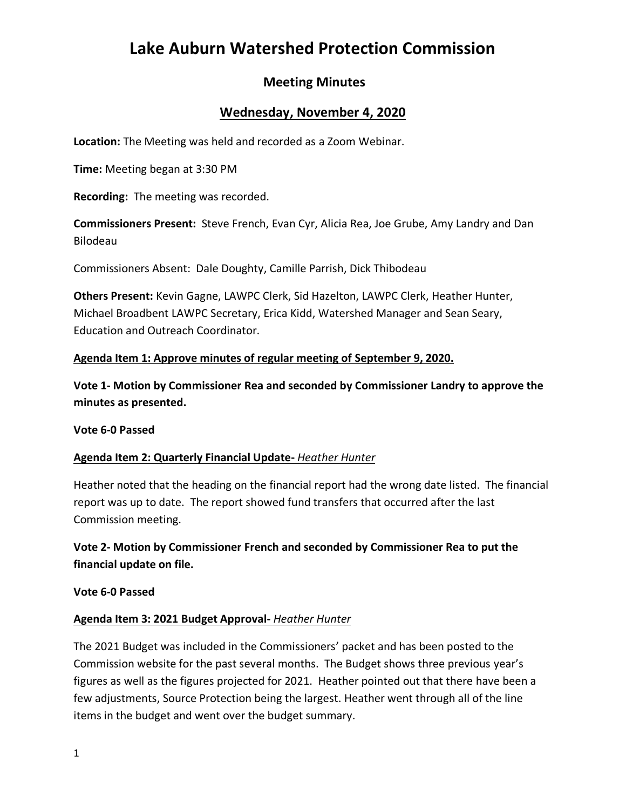# **Lake Auburn Watershed Protection Commission**

# **Meeting Minutes**

# **Wednesday, November 4, 2020**

**Location:** The Meeting was held and recorded as a Zoom Webinar.

**Time:** Meeting began at 3:30 PM

**Recording:** The meeting was recorded.

**Commissioners Present:** Steve French, Evan Cyr, Alicia Rea, Joe Grube, Amy Landry and Dan Bilodeau

Commissioners Absent: Dale Doughty, Camille Parrish, Dick Thibodeau

**Others Present:** Kevin Gagne, LAWPC Clerk, Sid Hazelton, LAWPC Clerk, Heather Hunter, Michael Broadbent LAWPC Secretary, Erica Kidd, Watershed Manager and Sean Seary, Education and Outreach Coordinator.

### **Agenda Item 1: Approve minutes of regular meeting of September 9, 2020.**

**Vote 1- Motion by Commissioner Rea and seconded by Commissioner Landry to approve the minutes as presented.**

#### **Vote 6-0 Passed**

#### **Agenda Item 2: Quarterly Financial Update-** *Heather Hunter*

Heather noted that the heading on the financial report had the wrong date listed. The financial report was up to date. The report showed fund transfers that occurred after the last Commission meeting.

**Vote 2- Motion by Commissioner French and seconded by Commissioner Rea to put the financial update on file.**

**Vote 6-0 Passed**

#### **Agenda Item 3: 2021 Budget Approval-** *Heather Hunter*

The 2021 Budget was included in the Commissioners' packet and has been posted to the Commission website for the past several months. The Budget shows three previous year's figures as well as the figures projected for 2021. Heather pointed out that there have been a few adjustments, Source Protection being the largest. Heather went through all of the line items in the budget and went over the budget summary.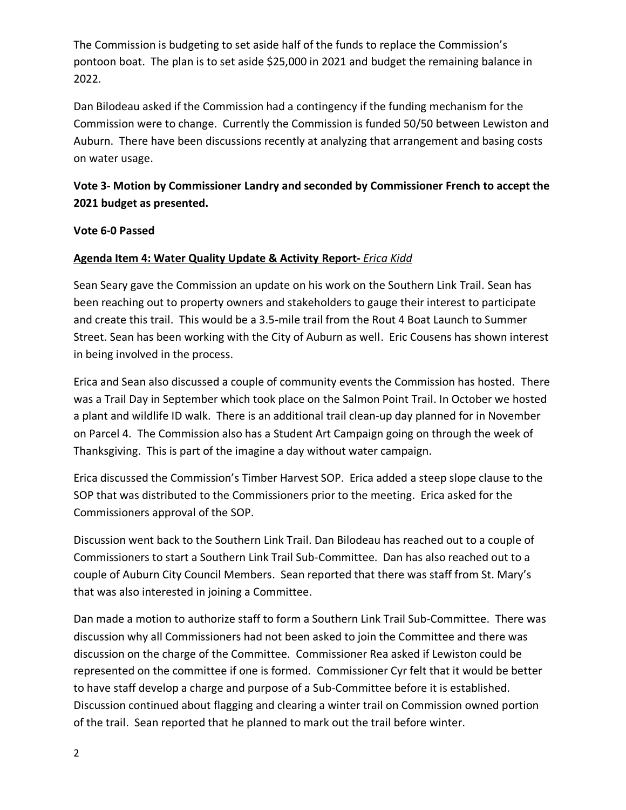The Commission is budgeting to set aside half of the funds to replace the Commission's pontoon boat. The plan is to set aside \$25,000 in 2021 and budget the remaining balance in 2022.

Dan Bilodeau asked if the Commission had a contingency if the funding mechanism for the Commission were to change. Currently the Commission is funded 50/50 between Lewiston and Auburn. There have been discussions recently at analyzing that arrangement and basing costs on water usage.

# **Vote 3- Motion by Commissioner Landry and seconded by Commissioner French to accept the 2021 budget as presented.**

### **Vote 6-0 Passed**

### **Agenda Item 4: Water Quality Update & Activity Report-** *Erica Kidd*

Sean Seary gave the Commission an update on his work on the Southern Link Trail. Sean has been reaching out to property owners and stakeholders to gauge their interest to participate and create this trail. This would be a 3.5-mile trail from the Rout 4 Boat Launch to Summer Street. Sean has been working with the City of Auburn as well. Eric Cousens has shown interest in being involved in the process.

Erica and Sean also discussed a couple of community events the Commission has hosted. There was a Trail Day in September which took place on the Salmon Point Trail. In October we hosted a plant and wildlife ID walk. There is an additional trail clean-up day planned for in November on Parcel 4. The Commission also has a Student Art Campaign going on through the week of Thanksgiving. This is part of the imagine a day without water campaign.

Erica discussed the Commission's Timber Harvest SOP. Erica added a steep slope clause to the SOP that was distributed to the Commissioners prior to the meeting. Erica asked for the Commissioners approval of the SOP.

Discussion went back to the Southern Link Trail. Dan Bilodeau has reached out to a couple of Commissioners to start a Southern Link Trail Sub-Committee. Dan has also reached out to a couple of Auburn City Council Members. Sean reported that there was staff from St. Mary's that was also interested in joining a Committee.

Dan made a motion to authorize staff to form a Southern Link Trail Sub-Committee. There was discussion why all Commissioners had not been asked to join the Committee and there was discussion on the charge of the Committee. Commissioner Rea asked if Lewiston could be represented on the committee if one is formed. Commissioner Cyr felt that it would be better to have staff develop a charge and purpose of a Sub-Committee before it is established. Discussion continued about flagging and clearing a winter trail on Commission owned portion of the trail. Sean reported that he planned to mark out the trail before winter.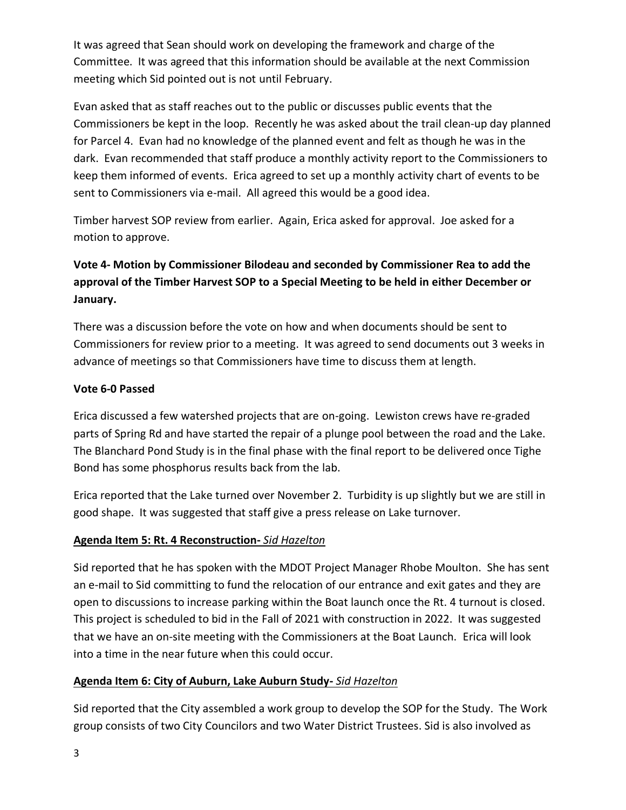It was agreed that Sean should work on developing the framework and charge of the Committee. It was agreed that this information should be available at the next Commission meeting which Sid pointed out is not until February.

Evan asked that as staff reaches out to the public or discusses public events that the Commissioners be kept in the loop. Recently he was asked about the trail clean-up day planned for Parcel 4. Evan had no knowledge of the planned event and felt as though he was in the dark. Evan recommended that staff produce a monthly activity report to the Commissioners to keep them informed of events. Erica agreed to set up a monthly activity chart of events to be sent to Commissioners via e-mail. All agreed this would be a good idea.

Timber harvest SOP review from earlier. Again, Erica asked for approval. Joe asked for a motion to approve.

# **Vote 4- Motion by Commissioner Bilodeau and seconded by Commissioner Rea to add the approval of the Timber Harvest SOP to a Special Meeting to be held in either December or January.**

There was a discussion before the vote on how and when documents should be sent to Commissioners for review prior to a meeting. It was agreed to send documents out 3 weeks in advance of meetings so that Commissioners have time to discuss them at length.

## **Vote 6-0 Passed**

Erica discussed a few watershed projects that are on-going. Lewiston crews have re-graded parts of Spring Rd and have started the repair of a plunge pool between the road and the Lake. The Blanchard Pond Study is in the final phase with the final report to be delivered once Tighe Bond has some phosphorus results back from the lab.

Erica reported that the Lake turned over November 2. Turbidity is up slightly but we are still in good shape. It was suggested that staff give a press release on Lake turnover.

### **Agenda Item 5: Rt. 4 Reconstruction-** *Sid Hazelton*

Sid reported that he has spoken with the MDOT Project Manager Rhobe Moulton. She has sent an e-mail to Sid committing to fund the relocation of our entrance and exit gates and they are open to discussions to increase parking within the Boat launch once the Rt. 4 turnout is closed. This project is scheduled to bid in the Fall of 2021 with construction in 2022. It was suggested that we have an on-site meeting with the Commissioners at the Boat Launch. Erica will look into a time in the near future when this could occur.

# **Agenda Item 6: City of Auburn, Lake Auburn Study-** *Sid Hazelton*

Sid reported that the City assembled a work group to develop the SOP for the Study. The Work group consists of two City Councilors and two Water District Trustees. Sid is also involved as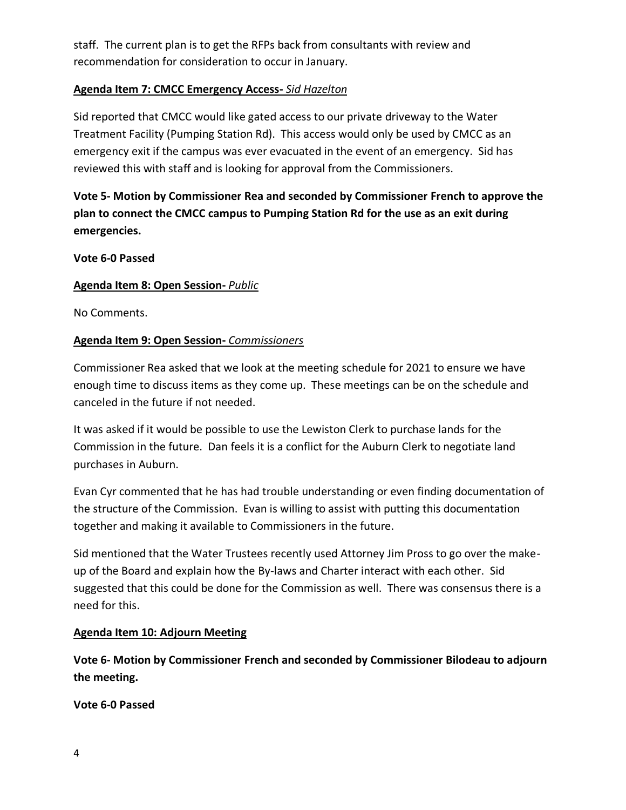staff. The current plan is to get the RFPs back from consultants with review and recommendation for consideration to occur in January.

### **Agenda Item 7: CMCC Emergency Access-** *Sid Hazelton*

Sid reported that CMCC would like gated access to our private driveway to the Water Treatment Facility (Pumping Station Rd). This access would only be used by CMCC as an emergency exit if the campus was ever evacuated in the event of an emergency. Sid has reviewed this with staff and is looking for approval from the Commissioners.

**Vote 5- Motion by Commissioner Rea and seconded by Commissioner French to approve the plan to connect the CMCC campus to Pumping Station Rd for the use as an exit during emergencies.**

### **Vote 6-0 Passed**

### **Agenda Item 8: Open Session-** *Public*

No Comments.

### **Agenda Item 9: Open Session-** *Commissioners*

Commissioner Rea asked that we look at the meeting schedule for 2021 to ensure we have enough time to discuss items as they come up. These meetings can be on the schedule and canceled in the future if not needed.

It was asked if it would be possible to use the Lewiston Clerk to purchase lands for the Commission in the future. Dan feels it is a conflict for the Auburn Clerk to negotiate land purchases in Auburn.

Evan Cyr commented that he has had trouble understanding or even finding documentation of the structure of the Commission. Evan is willing to assist with putting this documentation together and making it available to Commissioners in the future.

Sid mentioned that the Water Trustees recently used Attorney Jim Pross to go over the makeup of the Board and explain how the By-laws and Charter interact with each other. Sid suggested that this could be done for the Commission as well. There was consensus there is a need for this.

#### **Agenda Item 10: Adjourn Meeting**

**Vote 6- Motion by Commissioner French and seconded by Commissioner Bilodeau to adjourn the meeting.**

**Vote 6-0 Passed**